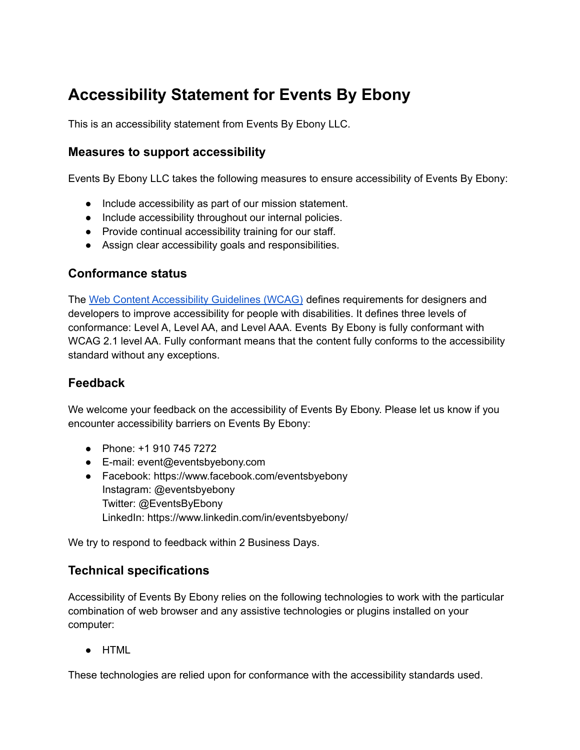# **Accessibility Statement for Events By Ebony**

This is an accessibility statement from Events By Ebony LLC.

## **Measures to support accessibility**

Events By Ebony LLC takes the following measures to ensure accessibility of Events By Ebony:

- Include accessibility as part of our mission statement.
- Include accessibility throughout our internal policies.
- Provide continual accessibility training for our staff.
- Assign clear accessibility goals and responsibilities.

### **Conformance status**

The Web Content [Accessibility](https://www.w3.org/WAI/standards-guidelines/wcag/) Guidelines (WCAG) defines requirements for designers and developers to improve accessibility for people with disabilities. It defines three levels of conformance: Level A, Level AA, and Level AAA. Events By Ebony is fully conformant with WCAG 2.1 level AA. Fully conformant means that the content fully conforms to the accessibility standard without any exceptions.

## **Feedback**

We welcome your feedback on the accessibility of Events By Ebony. Please let us know if you encounter accessibility barriers on Events By Ebony:

- Phone: +1 910 745 7272
- E-mail: event@eventsbyebony.com
- Facebook: https://www.facebook.com/eventsbyebony Instagram: @eventsbyebony Twitter: @EventsByEbony LinkedIn: https://www.linkedin.com/in/eventsbyebony/

We try to respond to feedback within 2 Business Days.

### **Technical specifications**

Accessibility of Events By Ebony relies on the following technologies to work with the particular combination of web browser and any assistive technologies or plugins installed on your computer:

● HTML

These technologies are relied upon for conformance with the accessibility standards used.